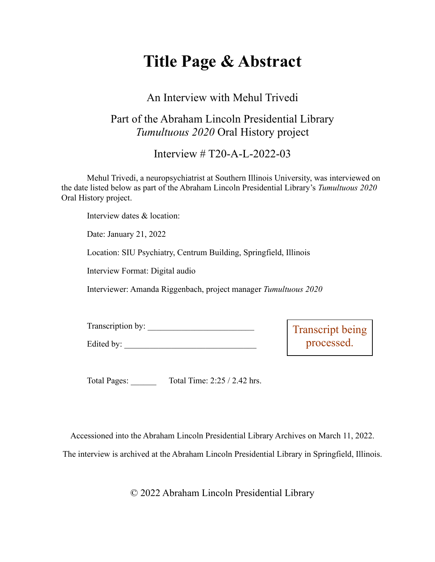# **Title Page & Abstract**

# An Interview with Mehul Trivedi

# Part of the Abraham Lincoln Presidential Library *Tumultuous 2020* Oral History project

Interview # T20-A-L-2022-03

Mehul Trivedi, a neuropsychiatrist at Southern Illinois University, was interviewed on the date listed below as part of the Abraham Lincoln Presidential Library's *Tumultuous 2020* Oral History project.

Interview dates & location:

Date: January 21, 2022

Location: SIU Psychiatry, Centrum Building, Springfield, Illinois

Interview Format: Digital audio

Interviewer: Amanda Riggenbach, project manager *Tumultuous 2020*

| Transcription by: |  |
|-------------------|--|
| Edited by:        |  |

Transcript being processed.

Total Pages: Total Time: 2:25 / 2.42 hrs.

Accessioned into the Abraham Lincoln Presidential Library Archives on March 11, 2022.

The interview is archived at the Abraham Lincoln Presidential Library in Springfield, Illinois.

© 2022 Abraham Lincoln Presidential Library